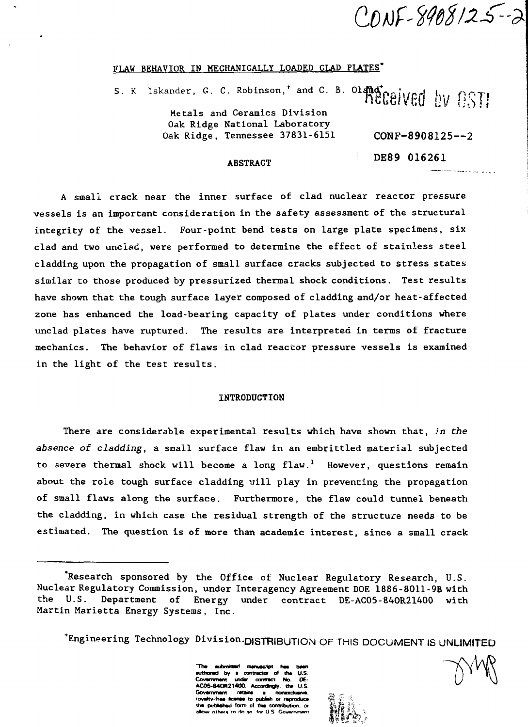CONF-8908125-2

**Contract Contract Contract** 

#### FLAW BEHAVIOR IN MECHANICALLY LOADED CLAD PLATES"

S. K Iskander, G. C. Robinson,\* and C. B. 01 **fl&eived kv 8ST!** Metals and Ceramics Division Oak Ridge National Laboratory Oak Ridge, Tennessee 37831-6151 CONF-8908125--2

#### ABSTRACT

DE89 016261

A small crack near the inner surface of clad nuclear reactor pressure vessels is an important consideration in the safety assessment of the structural integrity of the vessel. Four-point bend tests on large plate specimens, six clad and two unclad, were performed to determine the effect of stainless steel cladding upon the propagation of small surface cracks subjected to stress states similar to those produced by pressurized thermal shock conditions. Test results have shown that the tough surface layer composed of cladding and/or heat-affected zone has enhanced the load-bearing capacity of plates under conditions where unclad plates have ruptured. The results are interpreted in terms of fracture mechanics. The behavior of flaws in clad reactor pressure vessels is examined in the light of the test results.

# INTRODUCTION

There are considerable experimental results which have shown that, in the absence of cladding, a small surface flaw in an embrittled material subjected to severe thermal shock will become a long  $flow^{-1}$  However, questions remain about the role tough surface cladding will play in preventing the propagation of small flaws along the surface. Furthermore, the flaw could tunnel beneath the cladding, in which case the residual strength of the structure needs to be estimated. The question is of more than academic interest, since a small crack

•Engineering Technology Division-DISTRIBUTION<sup>O</sup> F THIS DOCUMENT IS UNLIMITED

**~Th» MtontMd manuscript has baan authored by • contractor of the U.S.** contract No. **ACOS-84OR21400. Accordngly. the U.S. Governmarit retains a nonaxclusive.**<br>royalty-free license to publish or reproduce  $\begin{bmatrix} 0,0.000000 & 0.00000 & 0.00000 & 0.00000 & 0.00000 & 0.00000 & 0.00000 & 0.00000 & 0.00000 & 0.00000 & 0.00000 & 0.00000 & 0.00000 & 0.00000 & 0.$ **tha putjfcahad form of ttua contribution, or \$h J^ h "i atr>w nfhftrq rn rin w tor U S Owwrvrwim ffiUl^ ;L/i ''':**

 **{H •-• .**

<sup>&#</sup>x27;Research sponsored by the Office of Nuclear Regulatory Research, U.S. Nuclear Regulatory Commission, under Interagency Agreement DOE 1886-8011-9B with the U.S. Department of Energy under contract DE-AC05-840R21400 with Martin Marietta Energy Systems, Inc.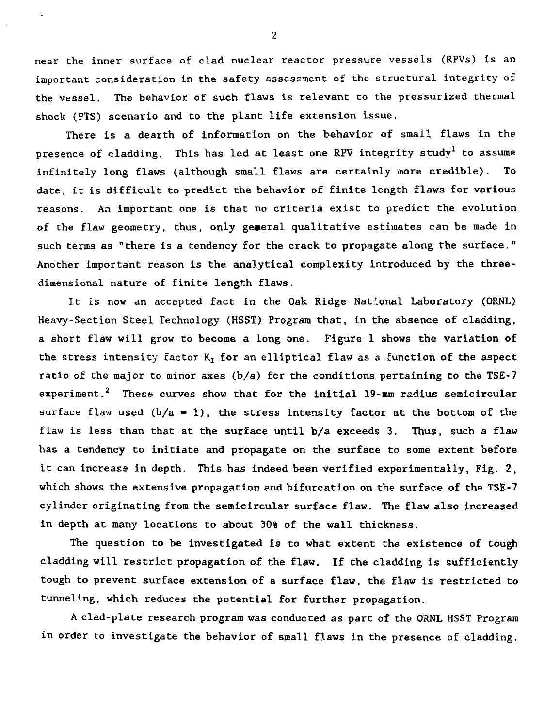near the inner surface of clad nuclear reactor pressure vessels (RPVs) is an important consideration in the safety assessment of the structural integrity of the vessel. The behavior of such flaws is relevant to the pressurized thermal shock (PTS) scenario and to the plant life extension issue.

There is a dearth of information on the behavior of small flaws in the presence of cladding. This has led at least one RPV integrity study<sup>1</sup> to assume infinitely long flaws (although small flaws are certainly more credible). To date, it is difficult to predict the behavior of finite length flaws for various reasons. An important one is that no criteria exist to predict the evolution of the flaw geometry, thus, only general qualitative estimates can be made in such terms as "there is a tendency for the crack to propagate along the surface." Another important reason is the analytical complexity introduced by the threedimensional nature of finite length flaws.

It is now an accepted fact in the Oak Ridge National Laboratory (ORNL) Heavy-Section Steel Technology (HSST) Program that, in the absence of cladding, a short flaw will grow to become a long one. Figure 1 shows the variation of the stress intensity factor  $K_I$  for an elliptical flaw as a function of the aspect ratio of the major to minor axes  $(b/a)$  for the conditions pertaining to the TSE-7 experiment.<sup>2</sup> These curves show that for the initial  $19$ -mm radius semicircular surface flaw used  $(b/a - 1)$ , the stress intensity factor at the bottom of the flaw is less than that at the surface until b/a exceeds 3. Thus, such a flaw has a tendency to initiate and propagate on the surface to some extent before it can increase in depth. This has indeed been verified experimentally, Fig. 2, which shows the extensive propagation and bifurcation on the surface of the TSE-7 cylinder originating from the semicircular surface flaw. The flaw also increased in depth at many locations to about 30% of the wall thickness.

The question to be investigated is to what extent the existence of tough cladding will restrict propagation of the flaw. If the cladding is sufficiently tough to prevent surface extension of a surface flaw, the flaw is restricted to tunneling, which reduces the potential for further propagation.

A clad-plate research program was conducted as part of the ORNL HSST Program in order to investigate the behavior of small flaws in the presence of cladding.

 $\overline{2}$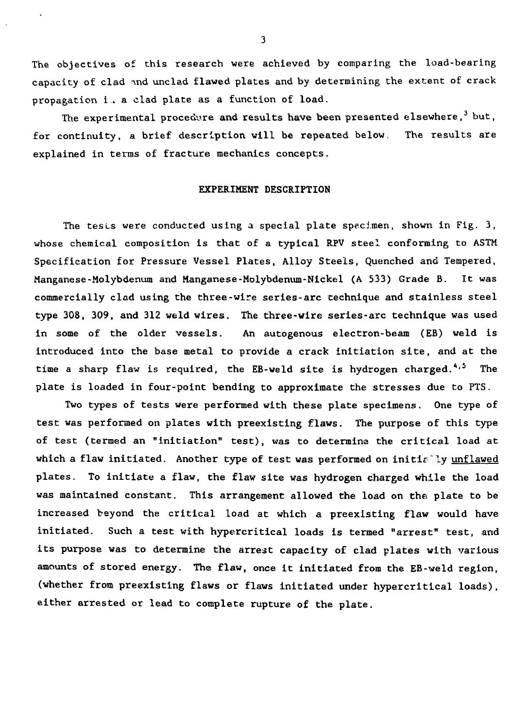The objectives of this research were achieved by comparing the load-bearing capacity of clad ind unclad flawed plates and by determining the extent of crack propagation i<sub>i</sub> a clad plate as a function of load.

The experimental procedure and results have been presented elsewhere,  $3$  but, for continuity, a brief description will be repeated below, The results are explained in terms of fracture mechanics concepts.

# EXPERIMENT DESCRIPTION

The tests were conducted using a special plate specimen, shown in Fig. 3, whose chemical composition is that of a typical RPV steel conforming to ASTM Specification for Pressure Vessel Plates, Alloy Steels, Quenched and Tempered, Manganese-Molybdenum and Manganese-Molybdenum-Nickel (A 533) Grade B. It was commercially clad using the three-wire series-arc technique and stainless steel type 308, 309, and 312 weld wires. The three-wire series-arc technique was used in some of the older vessels. An autogenous electron-beam (EB) weld is introduced into the base metal to provide a crack initiation site, and at the time a sharp flaw is required, the EB-weld site is hydrogen charged. $4.5$  The plate is loaded in four-point bending to approximate the stresses due to PTS.

Two types of tests were performed with these plate specimens. One type of test was performed on plates with preexisting flaws. The purpose of this type of test (termed an "initiation" test), was to determine the critical load at which a flaw initiated. Another type of test was performed on initially unflawed plates. To initiate a flaw, the flaw site was hydrogen charged while the load was maintained constant. This arrangement allowed the load on the plate to be increased beyond the critical load at which a preexisting flaw would have initiated. Such a test with hypercritical loads is termed "arrest" test, and its purpose was to determine the arrest capacity of clad plates with various amounts of stored energy. The flaw, once it initiated from the EB-weld region, (whether from preexisting flaws or flaws initiated under hypercritical loads), either arrested or lead to complete rupture of the plate.

 $\overline{\mathbf{3}}$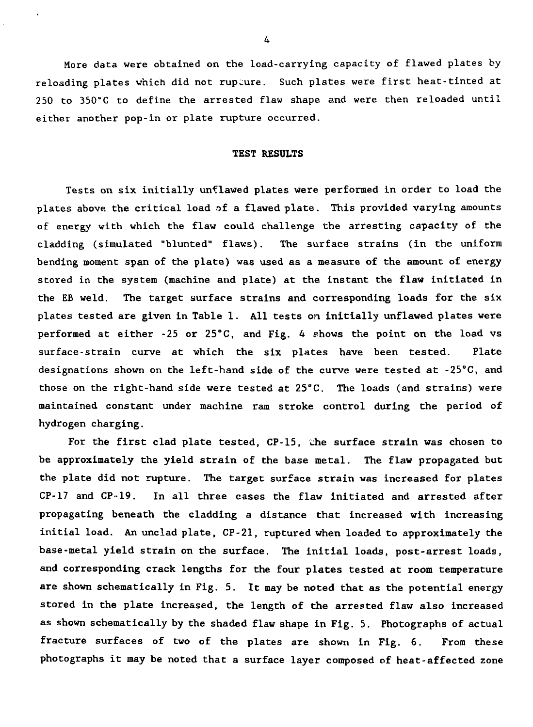More data were obtained on the load-carrying capacity of flawed plates by reloading plates which did not rupture. Such plates were first heat-tinted at 250 to 350°C to define the arrested flaw shape and were then reloaded until either another pop-in or plate rupture occurred.

#### TEST RESULTS

Tests on six initially unflawed plates were performed in order to load the plates above the critical load of a flawed plate. This provided varying amounts of energy with which the flaw could challenge the arresting capacity of the cladding (simulated "blunted" flaws). The surface strains (in the uniform bending moment span of the plate) was used as a measure of the amount of energy stored in the system (machine and plate) at the instant the flaw initiated in the EB weld. The target surface strains and corresponding loads for the six plates tested are given in Table 1. All tests on initially unflawed plates were performed at either -25 or 25°C, and Fig. 4 shows the point on the load vs surface-strain curve at which the six plates have been tested. Plate designations shown on the left-hand side of the curve were tested at -25°C, and those on the right-hand side were tested at 25°C. The loads (and strains) were maintained constant under machine ram stroke control during the period of hydrogen charging.

For the first clad plate tested, CP-15, die surface strain was chosen to be approximately the yield strain of the base metal. The flaw propagated but the plate did not rupture. The target surface strain was increased for plates CP-17 and CP-19. In all three cases the flaw initiated and arrested after propagating beneath the cladding a distance that increased with increasing initial load. An unclad plate, CP-21, ruptured when loaded to approximately the base-metal yield strain on the surface. The initial loads, post-arrest loads, and corresponding crack lengths for the four plates tested at room temperature are shown schematically in Fig. 5. It may be noted that as the potential energy stored in the plate increased, the length of the arrested flaw also increased as shown schematically by the shaded flaw shape in Fig. 5. Photographs of actual fracture surfaces of two of the plates are shown in Fig. 6. From these photographs it may be noted that a surface layer composed of heat-affected zone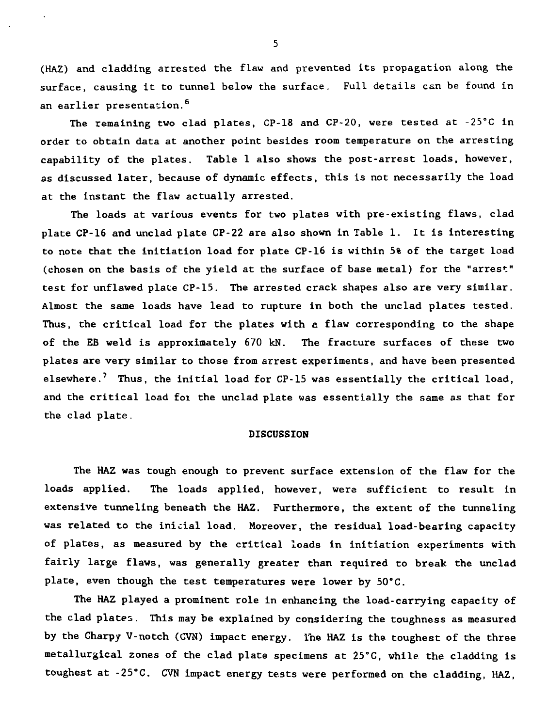(HAZ) and cladding arrested the flaw and prevented its propagation along the surface, causing it to tunnel below the surface. Full details can be found in an earlier presentation.<sup>6</sup>

The remaining two clad plates, CP-18 and CP-20, were tested at -25°C in order to obtain data at another point besides room temperature on the arresting capability of the plates. Table 1 also shows the post-arrest loads, however, as discussed later, because of dynamic effects, this is not necessarily the load at the instant the flaw actually arrested.

The loads at various events for two plates with pre-existing flaws, clad plate CP-16 and unclad plate CP-22 are also shown in Table 1. It is interesting to note that the initiation load for plate CP-16 is within 5% of the target load (chosen on the basis of the yield at the surface of base metal) for the "arrest" test for unflawed plate CP-15. The arrested crack shapes also are very similar. Almost the same loads have lead to rupture in both the unclad plates tested. Thus, the critical load for the plates with a flaw corresponding to the shape of the EB weld is approximately 670 kN. The fracture surfaces of these two plates are very similar to those from arrest experiments, and have been presented elsewhere.<sup>7</sup> Thus, the initial load for  $CP-15$  was essentially the critical load, and the critical load for the unclad plate was essentially the same as that for the clad plate.

#### DISCUSSION

The HAZ was tough enough to prevent surface extension of the flaw for the loads applied. The loads applied, however, were sufficient to result in extensive tunneling beneath the HAZ. Furthermore, the extent of the tunneling was related to the inicial load. Moreover, the residual load-bearing capacity of plates, as measured by the critical loads in initiation experiments with fairly large flaws, was generally greater than required to break the unclad plate, even though the test temperatures were lower by 50"C.

The HAZ played a prominent role in enhancing the load-carrying capacity of the clad plates. This may be explained by considering the toughness as measured by the Charpy V-notch (CVN) impact energy. Ihe HAZ is the toughest of the three metallurgical zones of the clad plate specimens at 25°C, while the cladding is toughest at -25"C. CVN impact energy tests were performed on the cladding, HAZ,

5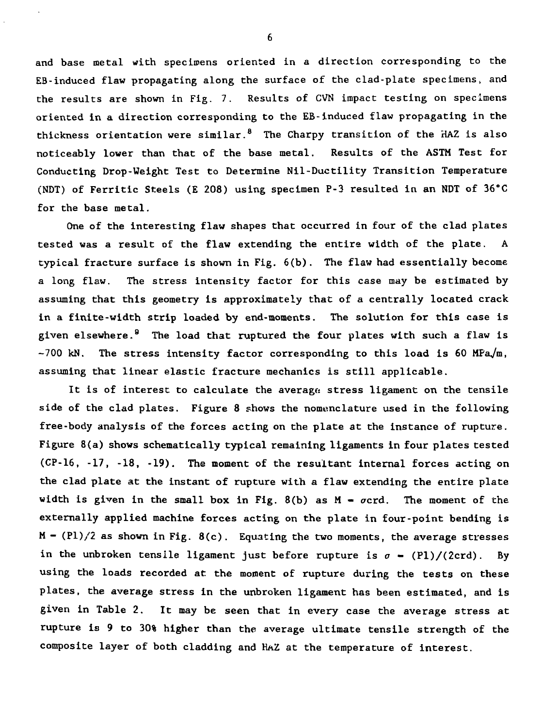and base metal with specimens oriented in a direction corresponding to the EB-induced flaw propagating along the surface of the clad-plate specimens, and the results are shown in Fig. 7. Results of CVN impact testing on specimens oriented in a direction corresponding to the EB-induced flaw propagating in the thickness orientation were similar.<sup>8</sup> The Charpy transition of the HAZ is also noticeably lower than that of the base metal. Results of the ASTM Test for Conducting Drop-Weight Test to Determine Nil-Ductility Transition Temperature (NDT) of Ferritic Steels (E 208) using specimen P-3 resulted in an NDT of 36"C for the base metal.

One of the interesting flaw shapes that occurred in four of the clad plates tested was a result of the flaw extending the entire width of the plate. A typical fracture surface is shown in Fig. 6(b). The flaw had essentially become a long flaw. The stress intensity factor for this case may be estimated by assuming that this geometry is approximately that of a centrally located crack in a finite-width strip loaded by end-moments. The solution for this case is given elsewhere.<sup>9</sup> The load that ruptured the four plates with such a flaw is  $-700$  kN. The stress intensity factor corresponding to this load is 60 MPa/m, assuming that linear elastic fracture mechanics is still applicable.

It is of interest to calculate the average stress ligament on the tensile side of the clad plates. Figure 8 shows the nomenclature used in the following free-body analysis of the forces acting on the plate at the instance of rupture. Figure 8(a) shows schematically typical remaining ligaments in four plates tested (CP-16, -17, -18, -19). The moment of the resultant internal forces acting on the clad plate at the instant of rupture with a flaw extending the entire plate width is given in the small box in Fig.  $8(b)$  as  $M - \sigma c$ rd. The moment of the externally applied machine forces acting on the plate in four-point bending is  $M - (P1)/2$  as shown in Fig. 8(c). Equating the two moments, the average stresses in the unbroken tensile ligament just before rupture is  $\sigma$  - (Pl)/(2crd). By using the loads recorded at the moment of rupture during the tests on these plates, the average stress in the unbroken ligament has been estimated, and is given in Table 2. It may be seen that in every case the average stress at rupture is 9 to 30% higher than the average ultimate tensile strength of the composite layer of both cladding and HAZ at the temperature of interest.

6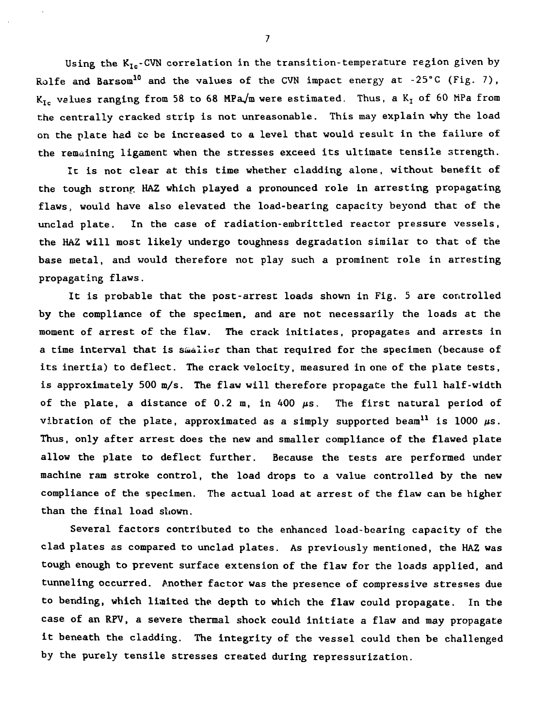Using the  $K_{Ic}$ -CVN correlation in the transition-temperature region given by Rolfe and Barsom<sup>10</sup> and the values of the CVN impact energy at  $-25^{\circ}$ C (Fig. 7),  $K_{Ic}$  values ranging from 58 to 68 MPa/m were estimated. Thus, a  $K_I$  of 60 MPa from the centrally cracked strip is not unreasonable. This may explain why the load on the plate had to be increased to a level that would result in the failure of the remaining ligament when the stresses exceed its ultimate tensile strength.

It is not clear at this time whether cladding alone, without benefit of the tough stronp HAZ which played a pronounced role in arresting propagating flaws, would have also elevated the load-bearing capacity beyond that of the unclad plate. In the case of radiation-embrittled reactor pressure vessels, the HAZ will most likely undergo toughness degradation similar to that of the base metal, and would therefore not play such a prominent role in arresting propagating flaws.

It is probable that the post-arrest loads shown in Fig. 5 are controlled by the compliance of the specimen, and are not necessarily the loads at the moment of arrest of the flaw. The crack initiates, propagates and arrests in a time interval that is smaller than that required for the specimen (because of its inertia) to deflect. The crack velocity, measured in one of the plate tests, is approximately 500 m/s. The flaw will therefore propagate the full half-width of the plate, a distance of  $0.2$  m, in 400  $\mu$ s. The first natural period of vibration of the plate, approximated as a simply supported beam<sup>11</sup> is 1000  $\mu$ s. Thus, only after arrest does the new and smaller compliance of the flawed plate allow the plate to deflect further. Because the tests are performed under machine ram stroke control, the load drops to a value controlled by the new compliance of the specimen. The actual load at arrest of the flaw can be higher than the final load shown.

Several factors contributed to the enhanced load-bearing capacity of the clad plates as compared to unclad plates. As previously mentioned, the HAZ was tough enough to prevent surface extension of the flaw for the loads applied, and tunneling occurred. Another factor was the presence of compressive stresses due to bending, which limited the depth to which the flaw could propagate. In the case of an RPV, a severe thermal shock could initiate a flaw and may propagate it beneath the cladding. The integrity of the vessel could then be challenged by the purely tensile stresses created during repressurization.

 $\overline{7}$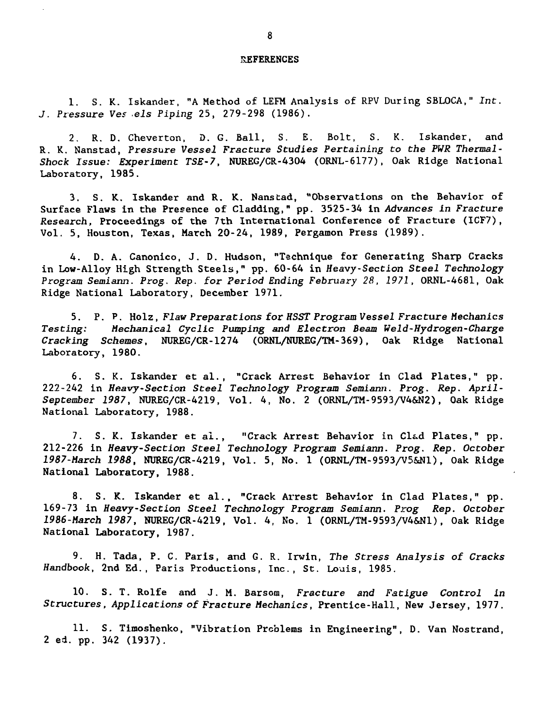### REFERENCES

1. S. K. Iskander, "A Method of LEFM Analysis of RPV During SBLOCA," Int. J. Pressure Ves els Piping 25, 279-298 (1986).

2. R. D. Cheverton, D. G. Ball, S. E. Bolt, S. K. Iskander, and R. K. Nanstad, Pressure Vessel Fracture Studies Pertaining to the PWR Thermal-Shock Issue: Experiment TSE-7, NUREG/CR-4304 (ORNL-6177), Oak Ridge National Laboratory, 1985.

3. S. K. Iskander and R. K. Nanstad, "Observations on the Behavior of Surface Flaws in the Presence of Cladding," pp. 3525-34 in Advances in Fracture Research, Proceedings of the 7th International Conference of Fracture (ICF7), Vol. 5, Houston, Texas, March 20-24, 1989, Pergamon Press (1989).

4. D. A. Canonico, J. D. Hudson, "Technique for Generating Sharp Cracks in Low-Alloy High Strength Steels," pp. 60-64 in Heavy-Section Steel Technology Program Semiann. Prog. Rep. for Period Ending February 28, 1971, ORNL-4681, Oak Ridge National Laboratory, December 1971.

5. P. P. Holz, Flaw Preparations for HSST Program Vessel Fracture Mechanics Testing: Mechanical Cyclic Pumping and Electron Beam WeId-Hydrogen-Charge Cracking Schemes, NUREG/CR-1274 (ORNL/NUREG/TM-369), Oak Ridge National Laboratory, 1980.

6. S. K. Iskander et al. , "Crack Arrest Behavior in Clad Plates," pp. 222-242 in Heavy-Section Steel Technology Program Semiann. Prog. Rep. April-September 1987, NUREG/CR-4219, Vol. 4, No. 2 (ORNL/TM-9593/V4&N2), Oak Ridge National Laboratory, 1988.

7. S. K. Iskander et al., "Crack Arrest Behavior in Clad Plates," pp. 212-226 in Heavy-Section Steel Technology Program Semiann. Prog. Rep. October 1987-March 1988, NUREG/CR-4219, Vol. 5, No. 1 (ORNL/TM-9593/V5&N1), Oak Ridge National Laboratory, 1988.

8. S. K. Iskander et al., "Crack Arrest Behavior in Clad Plates," pp. 169-73 in Heavy-Section Steel Technology Program Semiann. Prog Rep. October 1986-March 1987, NUREG/CR-4219, Vol. 4, No. 1 (ORNL/TM-9593/V4&N1), Oak Ridge National Laboratory, 1987.

9. H. Tada, P. C. Paris, and G. R. Irwin, The Stress Analysis of Cracks Handbook, 2nd Ed., Paris Productions, Inc., St. Louis, 1985.

10. S. T. Rolfe and J. M. Barsom, Fracture and Fatigue Control in Structures, Applications of Fracture Mechanics, Prentice-Hall, New Jersey, 1977.

11. S. Timoshenko, "Vibration Problems in Engineering", D. Van Nostrand, 2 ed. pp. 342 (1937).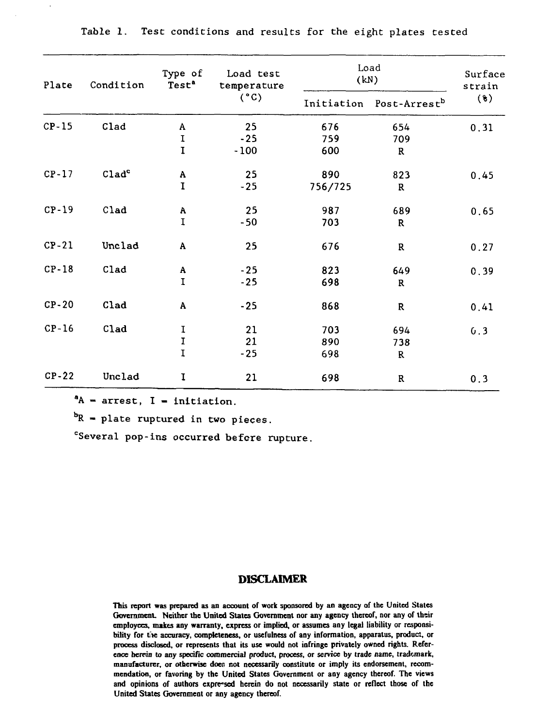| Plate   | Condition         | Type of<br>Test <sup>a</sup> | Load test<br>temperature<br>(°C) | Load<br>(kN) |                          | Surface<br>strain |
|---------|-------------------|------------------------------|----------------------------------|--------------|--------------------------|-------------------|
|         |                   |                              |                                  | Initiation   | Post-Arrest <sup>b</sup> | $(*)$             |
| $CP-15$ | Clad              | A                            | 25                               | 676          | 654                      | 0.31              |
|         |                   | $\mathbf I$                  | $-25$                            | 759          | 709                      |                   |
|         |                   | $\mathbf I$                  | $-100$                           | 600          | $\mathbf R$              |                   |
| $CP-17$ | Clad <sup>c</sup> | $\boldsymbol{\mathsf{A}}$    | 25                               | 890          | 823                      | 0.45              |
|         |                   | $\mathbf I$                  | $-25$                            | 756/725      | ${\bf R}$                |                   |
| $CP-19$ | C1ad              | Α                            | 25                               | 987          | 689                      | 0.65              |
|         |                   | $\mathbf I$                  | $-50$                            | 703          | R                        |                   |
| $CP-21$ | Unclad            | A                            | 25                               | 676          | ${\bf R}$                | 0.27              |
| $CP-18$ | Clad              | A                            | $-25$                            | 823          | 649                      | 0.39              |
|         |                   | $\mathbf I$                  | $-25$                            | 698          | R                        |                   |
| $CP-20$ | Clad              | A                            | $-25$                            | 868          | ${\mathbb R}$            | 0.41              |
| $CP-16$ | Clad              |                              | 21                               | 703          | 694                      | 0.3               |
|         |                   | $\frac{\text{I}}{\text{I}}$  | 21                               | 890          | 738                      |                   |
|         |                   | $\overline{1}$               | $-25$                            | 698          | R                        |                   |
| $CP-22$ | Unclad            | I                            | 21                               | 698          | ${\bf R}$                | 0.3               |

Table 1. Test conditions and results for the eight plates tested

 $^4A$  - arrest, I - initiation.

 ${}^{b}R$  = plate ruptured in two pieces.

<sup>c</sup>Several pop-ins occurred before rupture.

# **DISCLAIMER**

**This report was prepared as an account of work sponsored by an agency of the United States** Government. Neither the United States Government nor any agency thereof, nor any of their **employees, makes any warranty, express or implied, or assumes any legal liability or responsibility for tie accuracy, completeness, or usefulness of any information, apparatus, product, or process disclosed, or represents that its use would not infringe privately owned rights. Reference herein to any specific commercial product, process, or service by trade name, trademark, manufacturer, or otherwise does: not necessarily constitute or imply its endorsement, recommendation, or favoring by the United States Government or any agency thereof. The views and opinions of authors expressed herein do not necessarily state or reflect those of the United States Government or any agency thereof.**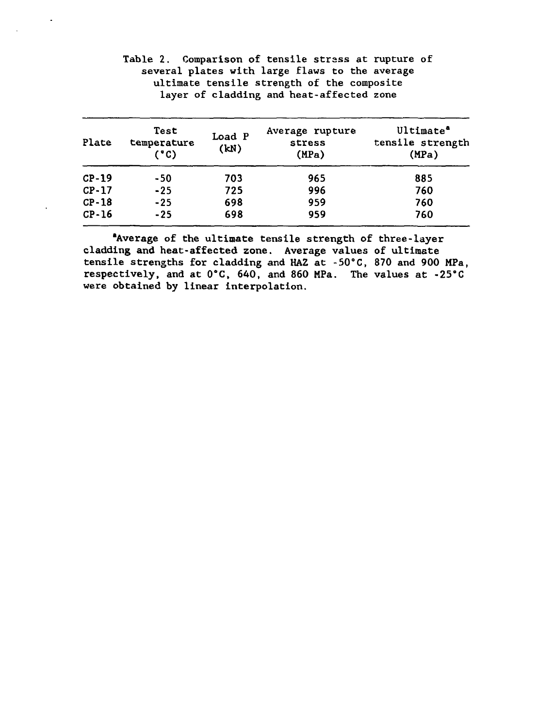| Plate   | Test<br>temperature<br>(°C) | Load P<br>(kN) | Average rupture<br>stress<br>(MPa) | Ultimate <sup>a</sup><br>tensile strength<br>(MPa) |
|---------|-----------------------------|----------------|------------------------------------|----------------------------------------------------|
| $CP-19$ | -50                         | 703            | 965                                | 885                                                |
| $CP-17$ | $-25$                       | 725            | 996                                | 760                                                |
| $CP-18$ | $-25$                       | 698            | 959                                | 760                                                |
| $CP-16$ | $-25$                       | 698            | 959                                | 760                                                |

Table 2. Comparison of tensile strsss at rupture of several plates with large flaws to the average ultimate tensile strength of the composite layer of cladding and heat-affected zone

'Average of the ultimate tensile strength of three-layer cladding and heat-affected zone. Average values of ultimate tensile strengths for cladding and HAZ at -50°C, 870 and 900 MPa, respectively, and at 0°C, 640, and 860 MPa. The values at -25°C were obtained by linear interpolation.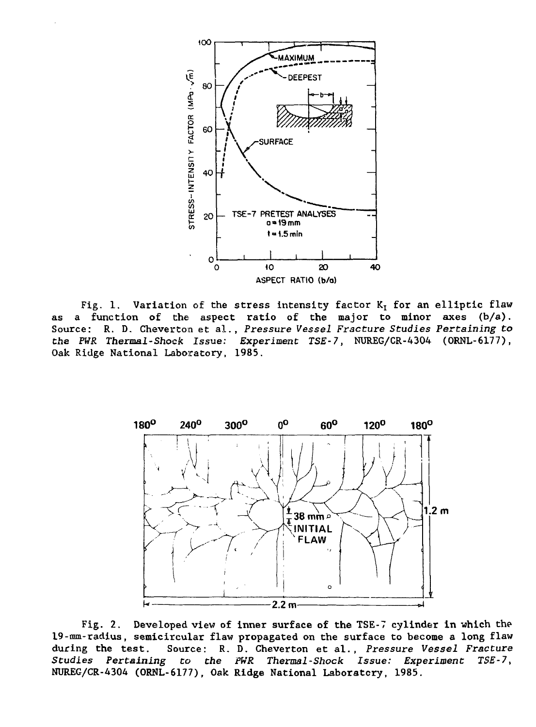

Fig. 1. Variation of the stress intensity factor  $K<sub>T</sub>$  for an elliptic flaw as a function of the aspect ratio of the major to minor axes  $(b/a)$ . Source: R. D. Cheverton et al., Pressure Vessel Fracture Studies Pertaining to tha PWR Thermal-Shock Issue: Experiment TSE-7, NUREG/CR-4304 (ORNL-6177), Oak Ridge National Laboratory, 1985.



Fig. 2. Developed view of inner surface of the TSE-7 cylinder in which the 19-mm-radius, semicircular flaw propagated on the surface to become a long flaw<br>during the test. Source: R. D. Cheverton et al., Pressure Vessel Fracture during the test. Source: R. D. Cheverton et al., Pressure Vessel Fracture<br>Studies Pertaining to the PWR Thermal-Shock Issue: Experiment TSE-7, to the PWR Thermal-Shock Issue: Experiment TSE-7, NUREG/CR-4304 (ORNL-6177), Oak Ridge National Laboratory, 1985.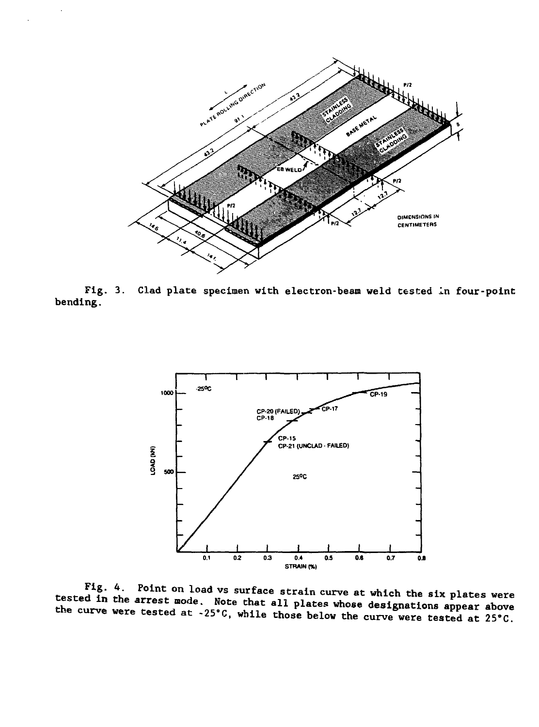

Fig. 3. Clad plate specimen with electron-beam weld tested in four-point **bending.**



**included** in the arrest mode. Note that all plates whose designations appear above<br>he curve were tested at 25% addl with the state designations appear above Fig. 4. Point on load vs surface strain curve at which the six plates w at strain curve at which the six plates w context at the arrest mode. Note that all plates whose designations appear at the strain curve of the strain **the curve were tested at -25'C, while those below the curve were tested at 25'C**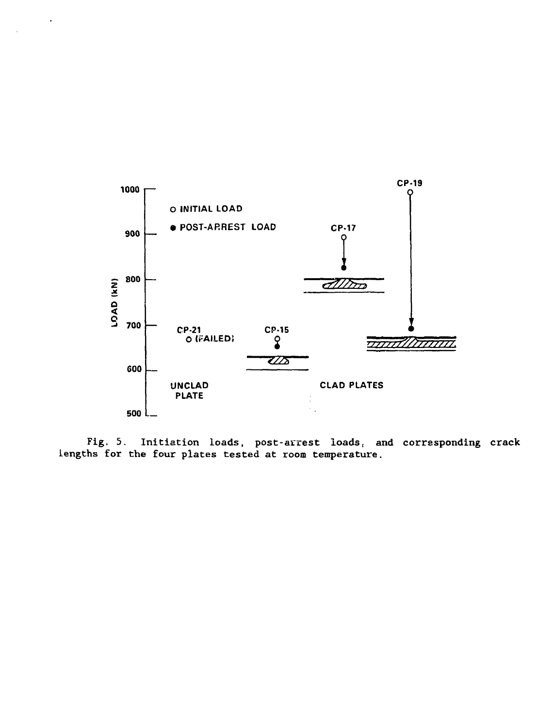

Fig. 5. Initiation loads, post-arrest loads, and corresponding crack lengths for the four plates tested at room temperature.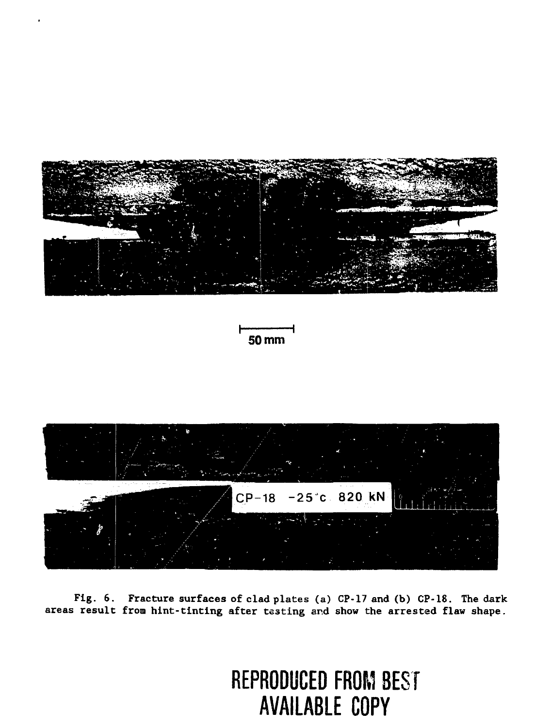





**Fig. 6. Fracture surfaces of clad plates (a) CP-17 and (b) CP-18. The dark areas result from hint-tinting after testing and show the arrested flaw shape.**

# **REPRODUCED FROM BEST AVAILABLE COPY**